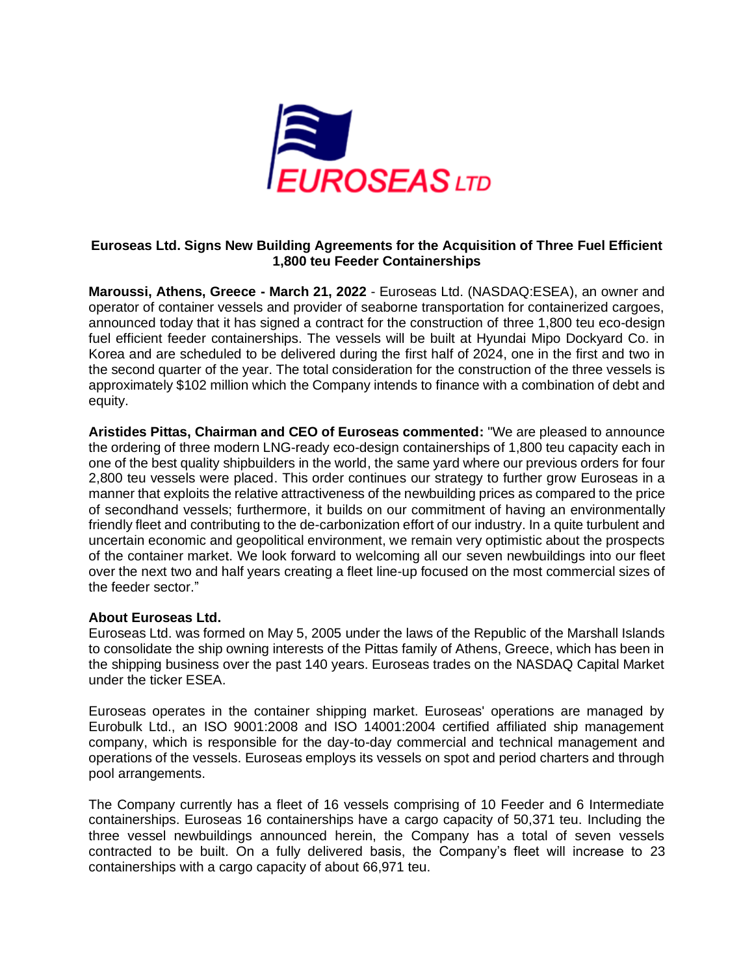

# **Euroseas Ltd. Signs New Building Agreements for the Acquisition of Three Fuel Efficient 1,800 teu Feeder Containerships**

**Maroussi, Athens, Greece - March 21, 2022** - Euroseas Ltd. (NASDAQ:ESEA), an owner and operator of container vessels and provider of seaborne transportation for containerized cargoes, announced today that it has signed a contract for the construction of three 1,800 teu eco-design fuel efficient feeder containerships. The vessels will be built at Hyundai Mipo Dockyard Co. in Korea and are scheduled to be delivered during the first half of 2024, one in the first and two in the second quarter of the year. The total consideration for the construction of the three vessels is approximately \$102 million which the Company intends to finance with a combination of debt and equity.

**Aristides Pittas, Chairman and CEO of Euroseas commented:** "We are pleased to announce the ordering of three modern LNG-ready eco-design containerships of 1,800 teu capacity each in one of the best quality shipbuilders in the world, the same yard where our previous orders for four 2,800 teu vessels were placed. This order continues our strategy to further grow Euroseas in a manner that exploits the relative attractiveness of the newbuilding prices as compared to the price of secondhand vessels; furthermore, it builds on our commitment of having an environmentally friendly fleet and contributing to the de-carbonization effort of our industry. In a quite turbulent and uncertain economic and geopolitical environment, we remain very optimistic about the prospects of the container market. We look forward to welcoming all our seven newbuildings into our fleet over the next two and half years creating a fleet line-up focused on the most commercial sizes of the feeder sector."

## **About Euroseas Ltd.**

Euroseas Ltd. was formed on May 5, 2005 under the laws of the Republic of the Marshall Islands to consolidate the ship owning interests of the Pittas family of Athens, Greece, which has been in the shipping business over the past 140 years. Euroseas trades on the NASDAQ Capital Market under the ticker ESEA.

Euroseas operates in the container shipping market. Euroseas' operations are managed by Eurobulk Ltd., an ISO 9001:2008 and ISO 14001:2004 certified affiliated ship management company, which is responsible for the day-to-day commercial and technical management and operations of the vessels. Euroseas employs its vessels on spot and period charters and through pool arrangements.

The Company currently has a fleet of 16 vessels comprising of 10 Feeder and 6 Intermediate containerships. Euroseas 16 containerships have a cargo capacity of 50,371 teu. Including the three vessel newbuildings announced herein, the Company has a total of seven vessels contracted to be built. On a fully delivered basis, the Company's fleet will increase to 23 containerships with a cargo capacity of about 66,971 teu.